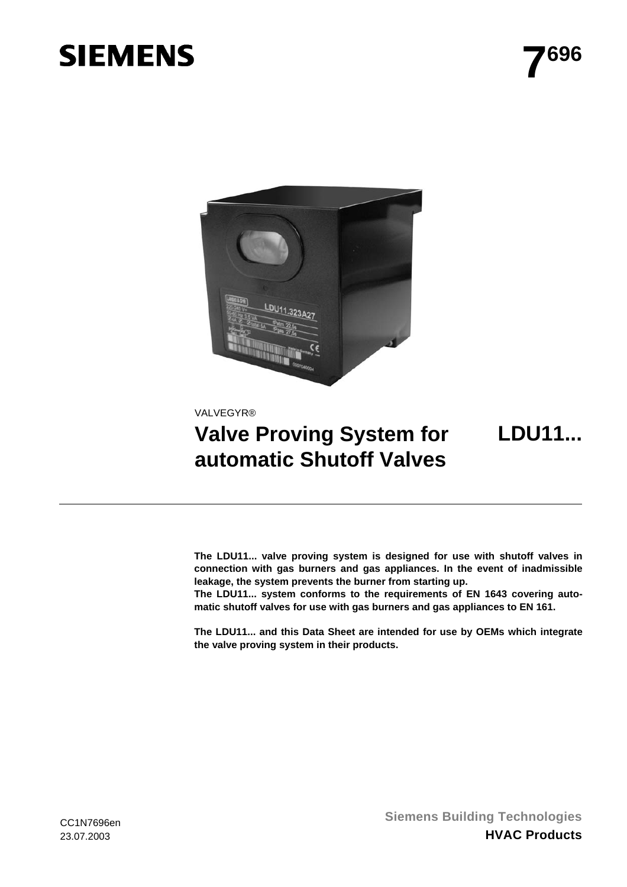# **SIEMENS**

**LDU11...**



VALVEGYR®

## **Valve Proving System for automatic Shutoff Valves**

**The LDU11... valve proving system is designed for use with shutoff valves in connection with gas burners and gas appliances. In the event of inadmissible leakage, the system prevents the burner from starting up.**

**The LDU11... system conforms to the requirements of EN 1643 covering automatic shutoff valves for use with gas burners and gas appliances to EN 161.**

**The LDU11... and this Data Sheet are intended for use by OEMs which integrate the valve proving system in their products.**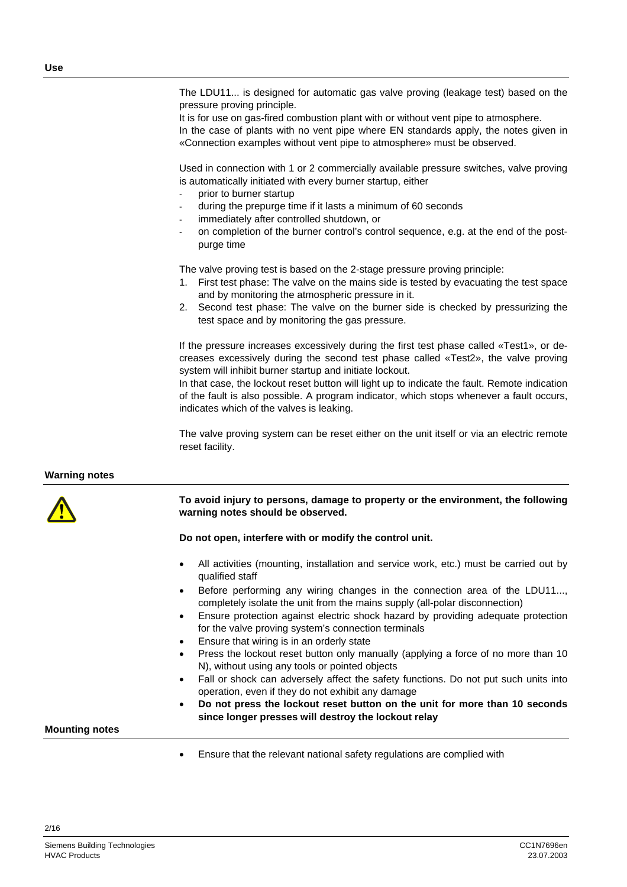The LDU11... is designed for automatic gas valve proving (leakage test) based on the pressure proving principle.

It is for use on gas-fired combustion plant with or without vent pipe to atmosphere. In the case of plants with no vent pipe where EN standards apply, the notes given in «Connection examples without vent pipe to atmosphere» must be observed.

Used in connection with 1 or 2 commercially available pressure switches, valve proving is automatically initiated with every burner startup, either

- prior to burner startup
- during the prepurge time if it lasts a minimum of 60 seconds
- immediately after controlled shutdown, or
- on completion of the burner control's control sequence, e.g. at the end of the postpurge time

The valve proving test is based on the 2-stage pressure proving principle:

- 1. First test phase: The valve on the mains side is tested by evacuating the test space and by monitoring the atmospheric pressure in it.
- 2. Second test phase: The valve on the burner side is checked by pressurizing the test space and by monitoring the gas pressure.

If the pressure increases excessively during the first test phase called «Test1», or decreases excessively during the second test phase called «Test2», the valve proving system will inhibit burner startup and initiate lockout.

In that case, the lockout reset button will light up to indicate the fault. Remote indication of the fault is also possible. A program indicator, which stops whenever a fault occurs, indicates which of the valves is leaking.

The valve proving system can be reset either on the unit itself or via an electric remote reset facility.

#### **Warning notes**



#### **To avoid injury to persons, damage to property or the environment, the following warning notes should be observed.**

#### **Do not open, interfere with or modify the control unit.**

- All activities (mounting, installation and service work, etc.) must be carried out by qualified staff
- Before performing any wiring changes in the connection area of the LDU11..., completely isolate the unit from the mains supply (all-polar disconnection)
- Ensure protection against electric shock hazard by providing adequate protection for the valve proving system's connection terminals
- Ensure that wiring is in an orderly state
- Press the lockout reset button only manually (applying a force of no more than 10 N), without using any tools or pointed objects
- Fall or shock can adversely affect the safety functions. Do not put such units into operation, even if they do not exhibit any damage
- **Do not press the lockout reset button on the unit for more than 10 seconds since longer presses will destroy the lockout relay**

#### **Mounting notes**

2/16

• Ensure that the relevant national safety regulations are complied with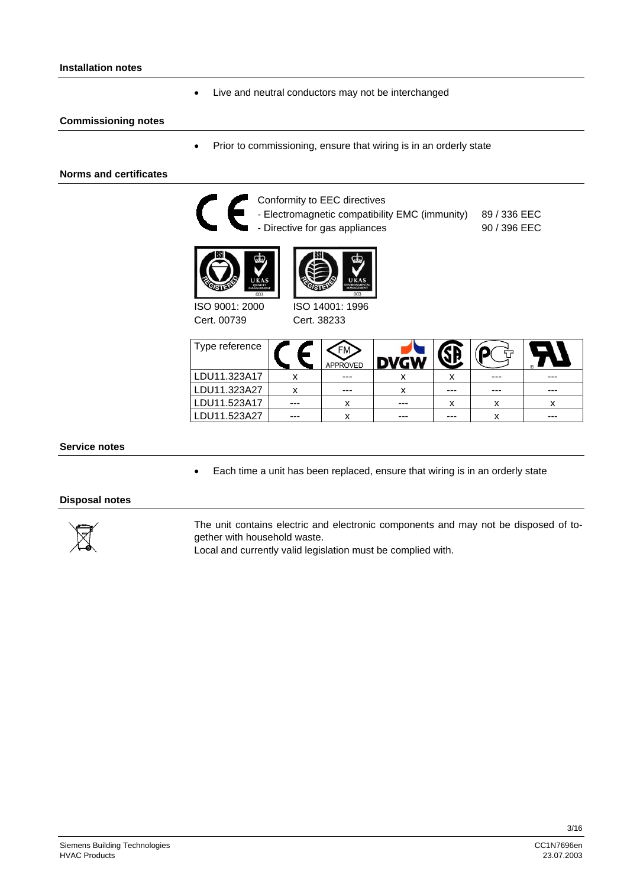#### **Installation notes**

• Live and neutral conductors may not be interchanged

#### **Commissioning notes**

• Prior to commissioning, ensure that wiring is in an orderly state

#### **Norms and certificates**



Conformity to EEC directives

- Electromagnetic compatibility EMC (immunity) - Directive for gas appliances





ISO 9001: 2000 Cert. 00739

ISO 14001: 1996 Cert. 38233

| Type reference |     | FM<br>APPROVED |         |     |     |     |
|----------------|-----|----------------|---------|-----|-----|-----|
| LDU11.323A17   |     | $- - -$        | х       |     | --- | --- |
| LDU11.323A27   |     | $- - -$        | x       | --- | --- | --- |
| LDU11.523A17   | --- | x              | $- - -$ | x   | х   |     |
| LDU11.523A27   | --- |                | ---     | --- | х   | --- |

89 / 336 EEC 90 / 396 EEC

#### **Service notes**

• Each time a unit has been replaced, ensure that wiring is in an orderly state

#### **Disposal notes**



The unit contains electric and electronic components and may not be disposed of together with household waste.

Local and currently valid legislation must be complied with.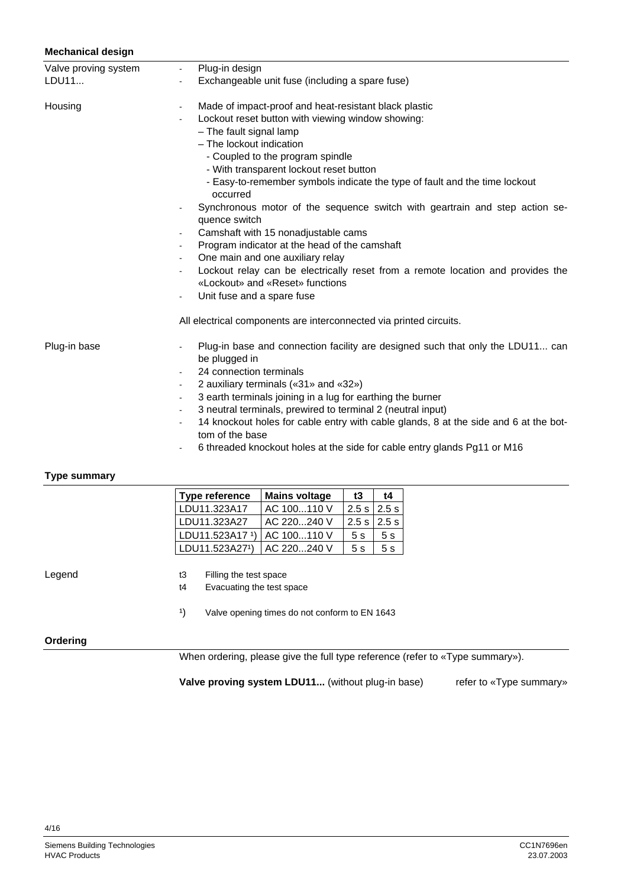#### **Mechanical design**

| Valve proving system | Plug-in design<br>$\sim$                                                                                           |
|----------------------|--------------------------------------------------------------------------------------------------------------------|
| LDU11                | Exchangeable unit fuse (including a spare fuse)<br>$\blacksquare$                                                  |
| Housing              | Made of impact-proof and heat-resistant black plastic<br>$\blacksquare$                                            |
|                      | Lockout reset button with viewing window showing:                                                                  |
|                      | - The fault signal lamp                                                                                            |
|                      | - The lockout indication                                                                                           |
|                      | - Coupled to the program spindle                                                                                   |
|                      | - With transparent lockout reset button                                                                            |
|                      | - Easy-to-remember symbols indicate the type of fault and the time lockout<br>occurred                             |
|                      | Synchronous motor of the sequence switch with geartrain and step action se-<br>$\blacksquare$<br>quence switch     |
|                      | Camshaft with 15 nonadjustable cams                                                                                |
|                      | Program indicator at the head of the camshaft                                                                      |
|                      | One main and one auxiliary relay                                                                                   |
|                      | Lockout relay can be electrically reset from a remote location and provides the<br>«Lockout» and «Reset» functions |
|                      | Unit fuse and a spare fuse                                                                                         |
|                      | All electrical components are interconnected via printed circuits.                                                 |
| Plug-in base         | Plug-in base and connection facility are designed such that only the LDU11 can<br>be plugged in                    |
|                      | 24 connection terminals                                                                                            |
|                      | 2 auxiliary terminals («31» and «32»)<br>$\blacksquare$                                                            |
|                      | 3 earth terminals joining in a lug for earthing the burner<br>$\blacksquare$                                       |
|                      | 3 neutral terminals, prewired to terminal 2 (neutral input)<br>$\blacksquare$                                      |
|                      | 14 knockout holes for cable entry with cable glands, 8 at the side and 6 at the bot-<br>tom of the base            |
|                      | 6 threaded knockout holes at the side for cable entry glands Pg11 or M16<br>$\blacksquare$                         |

#### **Type summary**

| Type reference  | <b>Mains voltage</b> | t3                        | t4 |
|-----------------|----------------------|---------------------------|----|
| LDU11.323A17    | AC 100110 V          | $2.5$ s $\frac{1}{2.5}$ s |    |
| LDU11.323A27    | AC 220240 V          | $2.5$ s $\frac{1}{2.5}$ s |    |
| LDU11.523A17 1) | AC 100110 V          | 5s                        | 5s |
| LDU11.523A271)  | AC 220240 V          | 5s                        | 5s |

Legend

t3 Filling the test space

t4 Evacuating the test space

<sup>1</sup>) Valve opening times do not conform to EN 1643

#### **Ordering**

When ordering, please give the full type reference (refer to «Type summary»).

**Valve proving system LDU11...** (without plug-in base) refer to «Type summary»

Siemens Building Technologies and the control of the control of the control of the control of the control of the control of the control of the control of the control of the control of the control of the control of the cont **HVAC Products**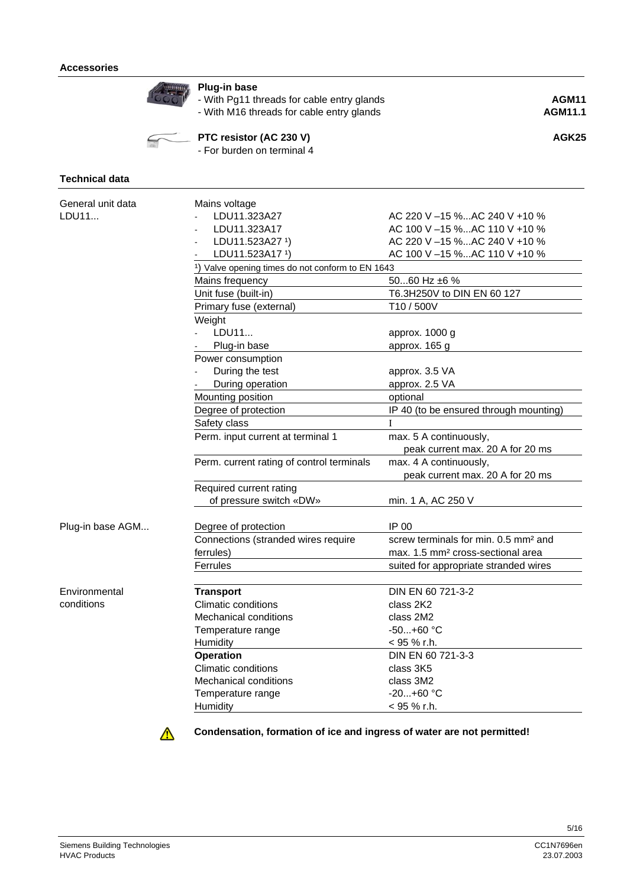

### **Plug-in base**

- With Pg11 threads for cable entry glands **AGM11** 

- With M16 threads for cable entry glands **AGM11.1**



## **PTC resistor (AC 230 V) AGK25**

- For burden on terminal 4

### **Technical data**

| LDU11.323A27<br>LDU11<br>AC 220 V -15 %AC 240 V +10 %<br>LDU11.323A17<br>AC 100 V -15 %AC 110 V +10 %<br>LDU11.523A27 1)<br>AC 220 V -15 %AC 240 V +10 %<br>LDU11.523A17 1)<br>AC 100 V -15 %AC 110 V +10 %<br><sup>1</sup> ) Valve opening times do not conform to EN 1643<br>5060 Hz ±6 %<br>Mains frequency<br>Unit fuse (built-in)<br>T6.3H250V to DIN EN 60 127<br>T10 / 500V<br>Primary fuse (external)<br>Weight<br>LDU11<br>approx. 1000 g<br>Plug-in base<br>approx. 165 g<br>Power consumption<br>During the test<br>approx. 3.5 VA<br>During operation<br>approx. 2.5 VA<br>Mounting position<br>optional<br>Degree of protection<br>IP 40 (to be ensured through mounting)<br>Safety class<br>I<br>Perm. input current at terminal 1<br>max. 5 A continuously,<br>peak current max. 20 A for 20 ms<br>Perm. current rating of control terminals<br>max. 4 A continuously,<br>peak current max. 20 A for 20 ms<br>Required current rating<br>of pressure switch «DW»<br>min. 1 A, AC 250 V<br>IP 00<br>Plug-in base AGM<br>Degree of protection<br>screw terminals for min. 0.5 mm <sup>2</sup> and<br>Connections (stranded wires require<br>ferrules)<br>max. 1.5 mm <sup>2</sup> cross-sectional area<br>Ferrules<br>suited for appropriate stranded wires<br><b>Transport</b><br>Environmental<br>DIN EN 60 721-3-2<br>conditions<br><b>Climatic conditions</b><br>class 2K2<br><b>Mechanical conditions</b><br>class 2M2<br>$-50+60 °C$<br>Temperature range<br>Humidity<br>< 95 % r.h.<br>DIN EN 60 721-3-3<br><b>Operation</b><br><b>Climatic conditions</b><br>class 3K5 | General unit data | Mains voltage                |           |  |  |  |  |
|---------------------------------------------------------------------------------------------------------------------------------------------------------------------------------------------------------------------------------------------------------------------------------------------------------------------------------------------------------------------------------------------------------------------------------------------------------------------------------------------------------------------------------------------------------------------------------------------------------------------------------------------------------------------------------------------------------------------------------------------------------------------------------------------------------------------------------------------------------------------------------------------------------------------------------------------------------------------------------------------------------------------------------------------------------------------------------------------------------------------------------------------------------------------------------------------------------------------------------------------------------------------------------------------------------------------------------------------------------------------------------------------------------------------------------------------------------------------------------------------------------------------------------------------------------------------------------------------|-------------------|------------------------------|-----------|--|--|--|--|
|                                                                                                                                                                                                                                                                                                                                                                                                                                                                                                                                                                                                                                                                                                                                                                                                                                                                                                                                                                                                                                                                                                                                                                                                                                                                                                                                                                                                                                                                                                                                                                                             |                   |                              |           |  |  |  |  |
|                                                                                                                                                                                                                                                                                                                                                                                                                                                                                                                                                                                                                                                                                                                                                                                                                                                                                                                                                                                                                                                                                                                                                                                                                                                                                                                                                                                                                                                                                                                                                                                             |                   |                              |           |  |  |  |  |
|                                                                                                                                                                                                                                                                                                                                                                                                                                                                                                                                                                                                                                                                                                                                                                                                                                                                                                                                                                                                                                                                                                                                                                                                                                                                                                                                                                                                                                                                                                                                                                                             |                   |                              |           |  |  |  |  |
|                                                                                                                                                                                                                                                                                                                                                                                                                                                                                                                                                                                                                                                                                                                                                                                                                                                                                                                                                                                                                                                                                                                                                                                                                                                                                                                                                                                                                                                                                                                                                                                             |                   |                              |           |  |  |  |  |
|                                                                                                                                                                                                                                                                                                                                                                                                                                                                                                                                                                                                                                                                                                                                                                                                                                                                                                                                                                                                                                                                                                                                                                                                                                                                                                                                                                                                                                                                                                                                                                                             |                   |                              |           |  |  |  |  |
|                                                                                                                                                                                                                                                                                                                                                                                                                                                                                                                                                                                                                                                                                                                                                                                                                                                                                                                                                                                                                                                                                                                                                                                                                                                                                                                                                                                                                                                                                                                                                                                             |                   |                              |           |  |  |  |  |
|                                                                                                                                                                                                                                                                                                                                                                                                                                                                                                                                                                                                                                                                                                                                                                                                                                                                                                                                                                                                                                                                                                                                                                                                                                                                                                                                                                                                                                                                                                                                                                                             |                   |                              |           |  |  |  |  |
|                                                                                                                                                                                                                                                                                                                                                                                                                                                                                                                                                                                                                                                                                                                                                                                                                                                                                                                                                                                                                                                                                                                                                                                                                                                                                                                                                                                                                                                                                                                                                                                             |                   |                              |           |  |  |  |  |
|                                                                                                                                                                                                                                                                                                                                                                                                                                                                                                                                                                                                                                                                                                                                                                                                                                                                                                                                                                                                                                                                                                                                                                                                                                                                                                                                                                                                                                                                                                                                                                                             |                   |                              |           |  |  |  |  |
|                                                                                                                                                                                                                                                                                                                                                                                                                                                                                                                                                                                                                                                                                                                                                                                                                                                                                                                                                                                                                                                                                                                                                                                                                                                                                                                                                                                                                                                                                                                                                                                             |                   |                              |           |  |  |  |  |
|                                                                                                                                                                                                                                                                                                                                                                                                                                                                                                                                                                                                                                                                                                                                                                                                                                                                                                                                                                                                                                                                                                                                                                                                                                                                                                                                                                                                                                                                                                                                                                                             |                   |                              |           |  |  |  |  |
|                                                                                                                                                                                                                                                                                                                                                                                                                                                                                                                                                                                                                                                                                                                                                                                                                                                                                                                                                                                                                                                                                                                                                                                                                                                                                                                                                                                                                                                                                                                                                                                             |                   |                              |           |  |  |  |  |
|                                                                                                                                                                                                                                                                                                                                                                                                                                                                                                                                                                                                                                                                                                                                                                                                                                                                                                                                                                                                                                                                                                                                                                                                                                                                                                                                                                                                                                                                                                                                                                                             |                   |                              |           |  |  |  |  |
|                                                                                                                                                                                                                                                                                                                                                                                                                                                                                                                                                                                                                                                                                                                                                                                                                                                                                                                                                                                                                                                                                                                                                                                                                                                                                                                                                                                                                                                                                                                                                                                             |                   |                              |           |  |  |  |  |
|                                                                                                                                                                                                                                                                                                                                                                                                                                                                                                                                                                                                                                                                                                                                                                                                                                                                                                                                                                                                                                                                                                                                                                                                                                                                                                                                                                                                                                                                                                                                                                                             |                   |                              |           |  |  |  |  |
|                                                                                                                                                                                                                                                                                                                                                                                                                                                                                                                                                                                                                                                                                                                                                                                                                                                                                                                                                                                                                                                                                                                                                                                                                                                                                                                                                                                                                                                                                                                                                                                             |                   |                              |           |  |  |  |  |
|                                                                                                                                                                                                                                                                                                                                                                                                                                                                                                                                                                                                                                                                                                                                                                                                                                                                                                                                                                                                                                                                                                                                                                                                                                                                                                                                                                                                                                                                                                                                                                                             |                   |                              |           |  |  |  |  |
|                                                                                                                                                                                                                                                                                                                                                                                                                                                                                                                                                                                                                                                                                                                                                                                                                                                                                                                                                                                                                                                                                                                                                                                                                                                                                                                                                                                                                                                                                                                                                                                             |                   |                              |           |  |  |  |  |
|                                                                                                                                                                                                                                                                                                                                                                                                                                                                                                                                                                                                                                                                                                                                                                                                                                                                                                                                                                                                                                                                                                                                                                                                                                                                                                                                                                                                                                                                                                                                                                                             |                   |                              |           |  |  |  |  |
|                                                                                                                                                                                                                                                                                                                                                                                                                                                                                                                                                                                                                                                                                                                                                                                                                                                                                                                                                                                                                                                                                                                                                                                                                                                                                                                                                                                                                                                                                                                                                                                             |                   |                              |           |  |  |  |  |
|                                                                                                                                                                                                                                                                                                                                                                                                                                                                                                                                                                                                                                                                                                                                                                                                                                                                                                                                                                                                                                                                                                                                                                                                                                                                                                                                                                                                                                                                                                                                                                                             |                   |                              |           |  |  |  |  |
|                                                                                                                                                                                                                                                                                                                                                                                                                                                                                                                                                                                                                                                                                                                                                                                                                                                                                                                                                                                                                                                                                                                                                                                                                                                                                                                                                                                                                                                                                                                                                                                             |                   |                              |           |  |  |  |  |
|                                                                                                                                                                                                                                                                                                                                                                                                                                                                                                                                                                                                                                                                                                                                                                                                                                                                                                                                                                                                                                                                                                                                                                                                                                                                                                                                                                                                                                                                                                                                                                                             |                   |                              |           |  |  |  |  |
|                                                                                                                                                                                                                                                                                                                                                                                                                                                                                                                                                                                                                                                                                                                                                                                                                                                                                                                                                                                                                                                                                                                                                                                                                                                                                                                                                                                                                                                                                                                                                                                             |                   |                              |           |  |  |  |  |
|                                                                                                                                                                                                                                                                                                                                                                                                                                                                                                                                                                                                                                                                                                                                                                                                                                                                                                                                                                                                                                                                                                                                                                                                                                                                                                                                                                                                                                                                                                                                                                                             |                   |                              |           |  |  |  |  |
|                                                                                                                                                                                                                                                                                                                                                                                                                                                                                                                                                                                                                                                                                                                                                                                                                                                                                                                                                                                                                                                                                                                                                                                                                                                                                                                                                                                                                                                                                                                                                                                             |                   |                              |           |  |  |  |  |
|                                                                                                                                                                                                                                                                                                                                                                                                                                                                                                                                                                                                                                                                                                                                                                                                                                                                                                                                                                                                                                                                                                                                                                                                                                                                                                                                                                                                                                                                                                                                                                                             |                   |                              |           |  |  |  |  |
|                                                                                                                                                                                                                                                                                                                                                                                                                                                                                                                                                                                                                                                                                                                                                                                                                                                                                                                                                                                                                                                                                                                                                                                                                                                                                                                                                                                                                                                                                                                                                                                             |                   |                              |           |  |  |  |  |
|                                                                                                                                                                                                                                                                                                                                                                                                                                                                                                                                                                                                                                                                                                                                                                                                                                                                                                                                                                                                                                                                                                                                                                                                                                                                                                                                                                                                                                                                                                                                                                                             |                   |                              |           |  |  |  |  |
|                                                                                                                                                                                                                                                                                                                                                                                                                                                                                                                                                                                                                                                                                                                                                                                                                                                                                                                                                                                                                                                                                                                                                                                                                                                                                                                                                                                                                                                                                                                                                                                             |                   |                              |           |  |  |  |  |
|                                                                                                                                                                                                                                                                                                                                                                                                                                                                                                                                                                                                                                                                                                                                                                                                                                                                                                                                                                                                                                                                                                                                                                                                                                                                                                                                                                                                                                                                                                                                                                                             |                   |                              |           |  |  |  |  |
|                                                                                                                                                                                                                                                                                                                                                                                                                                                                                                                                                                                                                                                                                                                                                                                                                                                                                                                                                                                                                                                                                                                                                                                                                                                                                                                                                                                                                                                                                                                                                                                             |                   |                              |           |  |  |  |  |
|                                                                                                                                                                                                                                                                                                                                                                                                                                                                                                                                                                                                                                                                                                                                                                                                                                                                                                                                                                                                                                                                                                                                                                                                                                                                                                                                                                                                                                                                                                                                                                                             |                   |                              |           |  |  |  |  |
|                                                                                                                                                                                                                                                                                                                                                                                                                                                                                                                                                                                                                                                                                                                                                                                                                                                                                                                                                                                                                                                                                                                                                                                                                                                                                                                                                                                                                                                                                                                                                                                             |                   |                              |           |  |  |  |  |
|                                                                                                                                                                                                                                                                                                                                                                                                                                                                                                                                                                                                                                                                                                                                                                                                                                                                                                                                                                                                                                                                                                                                                                                                                                                                                                                                                                                                                                                                                                                                                                                             |                   |                              |           |  |  |  |  |
|                                                                                                                                                                                                                                                                                                                                                                                                                                                                                                                                                                                                                                                                                                                                                                                                                                                                                                                                                                                                                                                                                                                                                                                                                                                                                                                                                                                                                                                                                                                                                                                             |                   |                              |           |  |  |  |  |
|                                                                                                                                                                                                                                                                                                                                                                                                                                                                                                                                                                                                                                                                                                                                                                                                                                                                                                                                                                                                                                                                                                                                                                                                                                                                                                                                                                                                                                                                                                                                                                                             |                   | <b>Mechanical conditions</b> | class 3M2 |  |  |  |  |
| $-20+60$ °C<br>Temperature range                                                                                                                                                                                                                                                                                                                                                                                                                                                                                                                                                                                                                                                                                                                                                                                                                                                                                                                                                                                                                                                                                                                                                                                                                                                                                                                                                                                                                                                                                                                                                            |                   |                              |           |  |  |  |  |
| < 95 % r.h.<br>Humidity                                                                                                                                                                                                                                                                                                                                                                                                                                                                                                                                                                                                                                                                                                                                                                                                                                                                                                                                                                                                                                                                                                                                                                                                                                                                                                                                                                                                                                                                                                                                                                     |                   |                              |           |  |  |  |  |



**Condensation, formation of ice and ingress of water are not permitted!**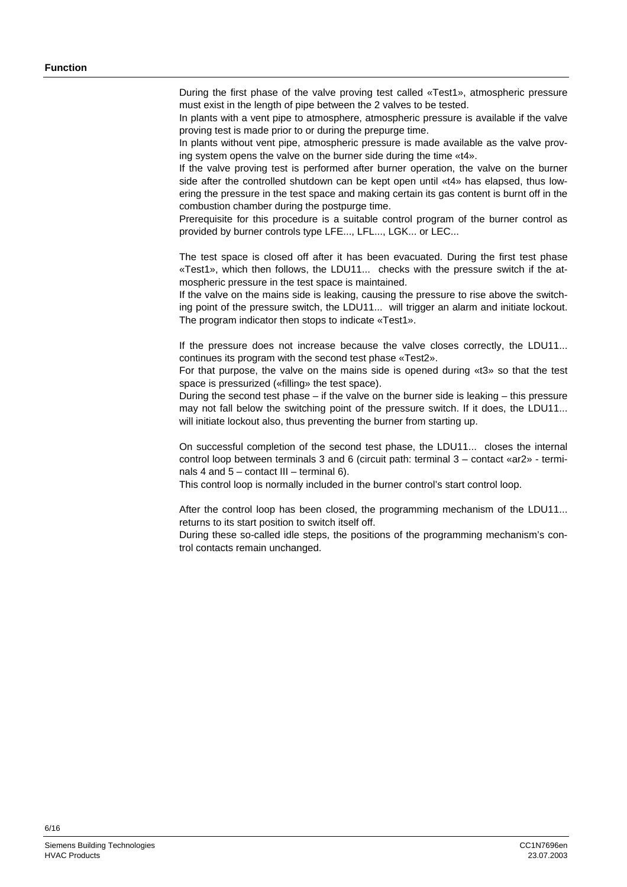During the first phase of the valve proving test called «Test1», atmospheric pressure must exist in the length of pipe between the 2 valves to be tested.

In plants with a vent pipe to atmosphere, atmospheric pressure is available if the valve proving test is made prior to or during the prepurge time.

In plants without vent pipe, atmospheric pressure is made available as the valve proving system opens the valve on the burner side during the time «t4».

If the valve proving test is performed after burner operation, the valve on the burner side after the controlled shutdown can be kept open until «t4» has elapsed, thus lowering the pressure in the test space and making certain its gas content is burnt off in the combustion chamber during the postpurge time.

Prerequisite for this procedure is a suitable control program of the burner control as provided by burner controls type LFE..., LFL..., LGK... or LEC...

The test space is closed off after it has been evacuated. During the first test phase «Test1», which then follows, the LDU11... checks with the pressure switch if the atmospheric pressure in the test space is maintained.

If the valve on the mains side is leaking, causing the pressure to rise above the switching point of the pressure switch, the LDU11... will trigger an alarm and initiate lockout. The program indicator then stops to indicate «Test1».

If the pressure does not increase because the valve closes correctly, the LDU11... continues its program with the second test phase «Test2».

For that purpose, the valve on the mains side is opened during «t3» so that the test space is pressurized («filling» the test space).

During the second test phase – if the valve on the burner side is leaking  $-$  this pressure may not fall below the switching point of the pressure switch. If it does, the LDU11... will initiate lockout also, thus preventing the burner from starting up.

On successful completion of the second test phase, the LDU11... closes the internal control loop between terminals 3 and 6 (circuit path: terminal 3 – contact «ar2» - terminals 4 and  $5$  – contact III – terminal 6).

This control loop is normally included in the burner control's start control loop.

After the control loop has been closed, the programming mechanism of the LDU11... returns to its start position to switch itself off.

During these so-called idle steps, the positions of the programming mechanism's control contacts remain unchanged.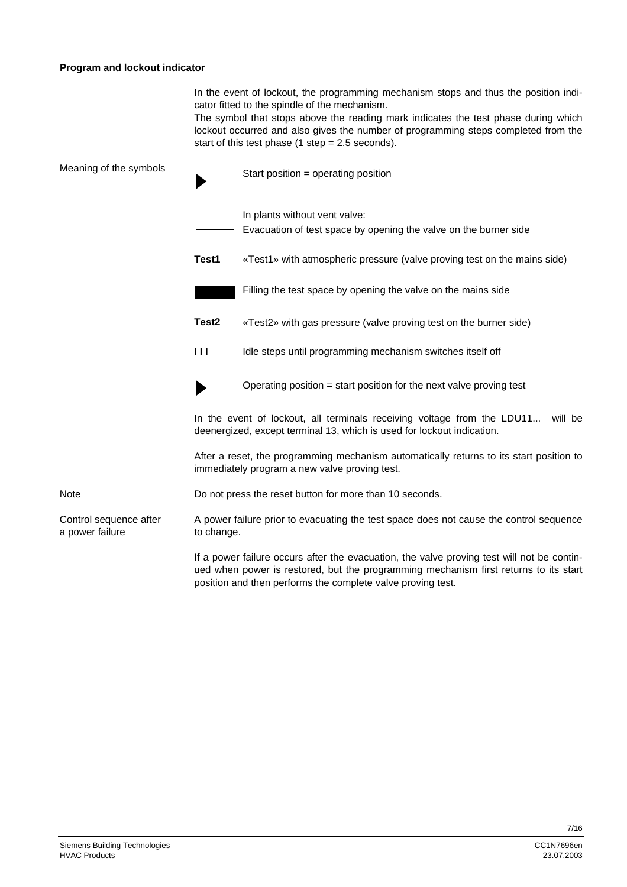In the event of lockout, the programming mechanism stops and thus the position indicator fitted to the spindle of the mechanism.

The symbol that stops above the reading mark indicates the test phase during which lockout occurred and also gives the number of programming steps completed from the start of this test phase (1 step = 2.5 seconds).

| Meaning of the symbols                    |                                                                                                                                                                                                                                                   | Start position = operating position                                                                                                                          |  |  |
|-------------------------------------------|---------------------------------------------------------------------------------------------------------------------------------------------------------------------------------------------------------------------------------------------------|--------------------------------------------------------------------------------------------------------------------------------------------------------------|--|--|
|                                           |                                                                                                                                                                                                                                                   | In plants without vent valve:<br>Evacuation of test space by opening the valve on the burner side                                                            |  |  |
|                                           | Test1                                                                                                                                                                                                                                             | «Test1» with atmospheric pressure (valve proving test on the mains side)                                                                                     |  |  |
|                                           |                                                                                                                                                                                                                                                   | Filling the test space by opening the valve on the mains side                                                                                                |  |  |
|                                           | Test <sub>2</sub>                                                                                                                                                                                                                                 | «Test2» with gas pressure (valve proving test on the burner side)                                                                                            |  |  |
|                                           | Ш                                                                                                                                                                                                                                                 | Idle steps until programming mechanism switches itself off                                                                                                   |  |  |
|                                           |                                                                                                                                                                                                                                                   | Operating position $=$ start position for the next valve proving test                                                                                        |  |  |
|                                           |                                                                                                                                                                                                                                                   | In the event of lockout, all terminals receiving voltage from the LDU11<br>will be<br>deenergized, except terminal 13, which is used for lockout indication. |  |  |
|                                           | After a reset, the programming mechanism automatically returns to its start position to<br>immediately program a new valve proving test.                                                                                                          |                                                                                                                                                              |  |  |
| Note                                      | Do not press the reset button for more than 10 seconds.                                                                                                                                                                                           |                                                                                                                                                              |  |  |
| Control sequence after<br>a power failure | A power failure prior to evacuating the test space does not cause the control sequence<br>to change.                                                                                                                                              |                                                                                                                                                              |  |  |
|                                           | If a power failure occurs after the evacuation, the valve proving test will not be contin-<br>ued when power is restored, but the programming mechanism first returns to its start<br>position and then performs the complete valve proving test. |                                                                                                                                                              |  |  |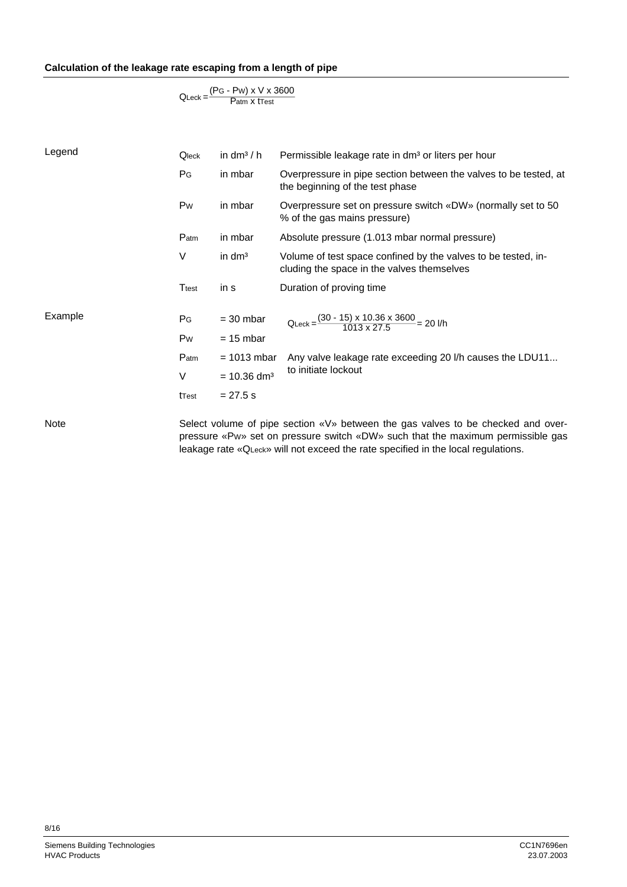#### **Calculation of the leakage rate escaping from a length of pipe**

```
QLeck =\frac{(PG - PW) \times V \times 3600}{Patm X tTest
```

| Legend  | Qleck          | in dm <sup>3</sup> / h    | Permissible leakage rate in dm <sup>3</sup> or liters per hour                                                                                                                                                                                           |
|---------|----------------|---------------------------|----------------------------------------------------------------------------------------------------------------------------------------------------------------------------------------------------------------------------------------------------------|
|         | PG             | in mbar                   | Overpressure in pipe section between the valves to be tested, at<br>the beginning of the test phase                                                                                                                                                      |
|         | Pw             | in mbar                   | Overpressure set on pressure switch «DW» (normally set to 50<br>% of the gas mains pressure)                                                                                                                                                             |
|         | Patm           | in mbar                   | Absolute pressure (1.013 mbar normal pressure)                                                                                                                                                                                                           |
|         | V              | in $dm3$                  | Volume of test space confined by the valves to be tested, in-<br>cluding the space in the valves themselves                                                                                                                                              |
|         | Ttest          | in s                      | Duration of proving time                                                                                                                                                                                                                                 |
| Example | P <sub>G</sub> | $=$ 30 mbar               | QLeck = $\frac{(30 - 15) \times 10.36 \times 3600}{1013 \times 27.5}$ = 20 l/h                                                                                                                                                                           |
|         | Pw             | $= 15$ mbar               |                                                                                                                                                                                                                                                          |
|         | $P_{atm}$      | $= 1013$ mbar             | Any valve leakage rate exceeding 20 I/h causes the LDU11                                                                                                                                                                                                 |
|         | V              | $= 10.36$ dm <sup>3</sup> | to initiate lockout                                                                                                                                                                                                                                      |
|         | tTest          | $= 27.5 s$                |                                                                                                                                                                                                                                                          |
| Note    |                |                           | Select volume of pipe section «V» between the gas valves to be checked and over-<br>pressure «Pw» set on pressure switch «DW» such that the maximum permissible gas<br>leakage rate «QLeck» will not exceed the rate specified in the local regulations. |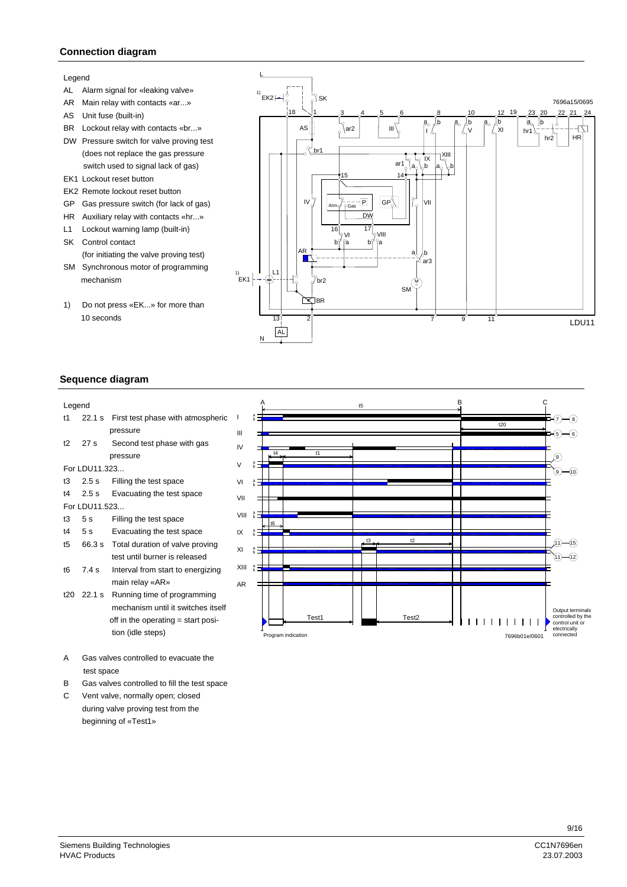#### **Connection diagram**

#### Legend

- AL Alarm signal for «leaking valve»
- AR Main relay with contacts «ar...»
- AS Unit fuse (built-in)
- BR Lockout relay with contacts «br...»
- DW Pressure switch for valve proving test (does not replace the gas pressure switch used to signal lack of gas)
- EK1 Lockout reset button
- EK2 Remote lockout reset button
- GP Gas pressure switch (for lack of gas)
- HR Auxiliary relay with contacts «hr...»
- L1 Lockout warning lamp (built-in)
- SK Control contact (for initiating the valve proving test)
- SM Synchronous motor of programming mechanism
- 1) Do not press «EK...» for more than 10 seconds



#### **Sequence diagram**

| Legend       |                 |                                          |  |  |  |
|--------------|-----------------|------------------------------------------|--|--|--|
| t1           |                 | 22.1 s First test phase with atmospheric |  |  |  |
|              | pressure        |                                          |  |  |  |
| 12           | 27 <sub>s</sub> | Second test phase with gas               |  |  |  |
|              |                 | pressure                                 |  |  |  |
|              | For LDU11.323   |                                          |  |  |  |
| t3           | 2.5s            | Filling the test space                   |  |  |  |
|              | $14$ 2.5 s      | Evacuating the test space                |  |  |  |
|              | For LDU11.523   |                                          |  |  |  |
|              | t3 5s           | Filling the test space                   |  |  |  |
|              | t4 5 s          | Evacuating the test space                |  |  |  |
| t5 i         |                 | 66.3 s Total duration of valve proving   |  |  |  |
|              |                 | test until burner is released            |  |  |  |
| t6           | 7.4 s           | Interval from start to energizing        |  |  |  |
|              |                 | main relay «AR»                          |  |  |  |
|              | $t20 \t22.1 s$  | Running time of programming              |  |  |  |
|              |                 | mechanism until it switches itself       |  |  |  |
|              |                 | off in the operating = start posi-       |  |  |  |
|              |                 | tion (idle steps)                        |  |  |  |
|              |                 |                                          |  |  |  |
| $\mathbf{A}$ |                 | Cas values controlled to overveto the    |  |  |  |

- Gas valves controlled to evacuate the test space
- B Gas valves controlled to fill the test space
- C Vent valve, normally open; closed during valve proving test from the beginning of «Test1»

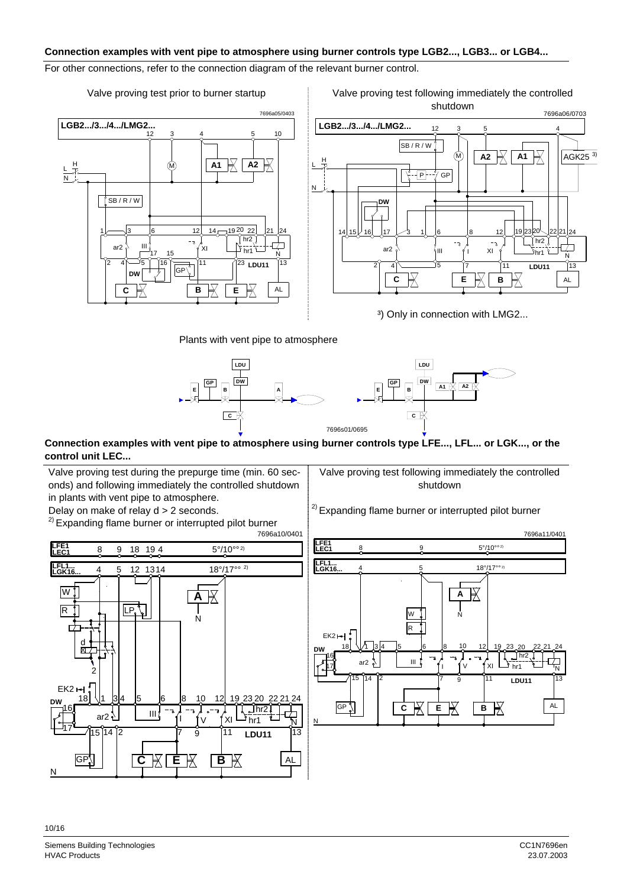#### **Connection examples with vent pipe to atmosphere using burner controls type LGB2..., LGB3... or LGB4...**

#### For other connections, refer to the connection diagram of the relevant burner control.







<sup>3</sup>) Only in connection with LMG2...

Plants with vent pipe to atmosphere





#### **Connection examples with vent pipe to atmosphere using burner controls type LFE..., LFL... or LGK..., or the control unit LEC...**

Valve proving test during the prepurge time (min. 60 seconds) and following immediately the controlled shutdown in plants with vent pipe to atmosphere. Delay on make of relay d > 2 seconds.

<sup>2)</sup> Expanding flame burner or interrupted pilot burner

Valve proving test following immediately the controlled shutdown

<sup>2)</sup> Expanding flame burner or interrupted pilot burner



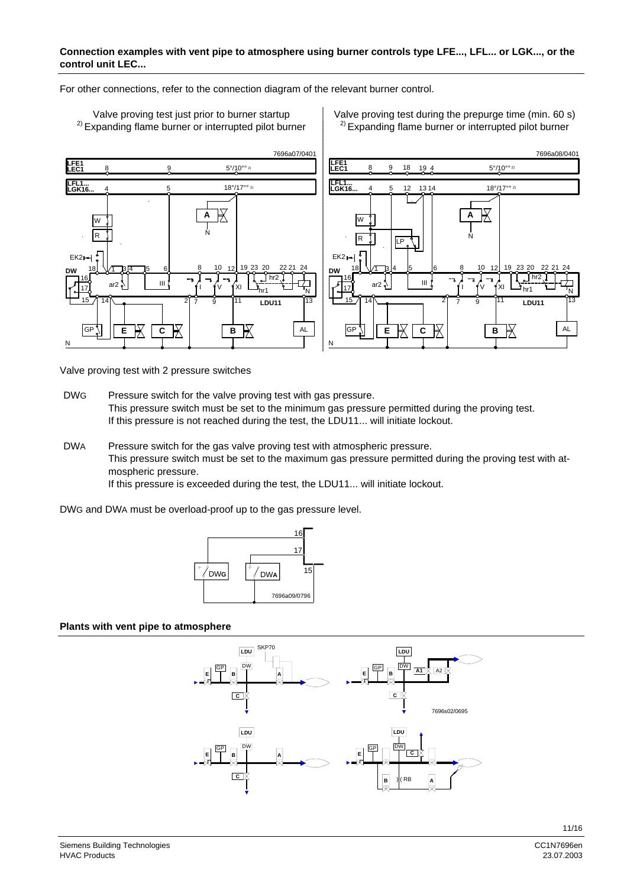#### **Connection examples with vent pipe to atmosphere using burner controls type LFE..., LFL... or LGK..., or the control unit LEC...**

For other connections, refer to the connection diagram of the relevant burner control.



Valve proving test with 2 pressure switches

- DWG Pressure switch for the valve proving test with gas pressure. This pressure switch must be set to the minimum gas pressure permitted during the proving test. If this pressure is not reached during the test, the LDU11... will initiate lockout.
- DWA Pressure switch for the gas valve proving test with atmospheric pressure. This pressure switch must be set to the maximum gas pressure permitted during the proving test with atmospheric pressure. If this pressure is exceeded during the test, the LDU11... will initiate lockout.

DWG and DWA must be overload-proof up to the gas pressure level.



#### **Plants with vent pipe to atmosphere**

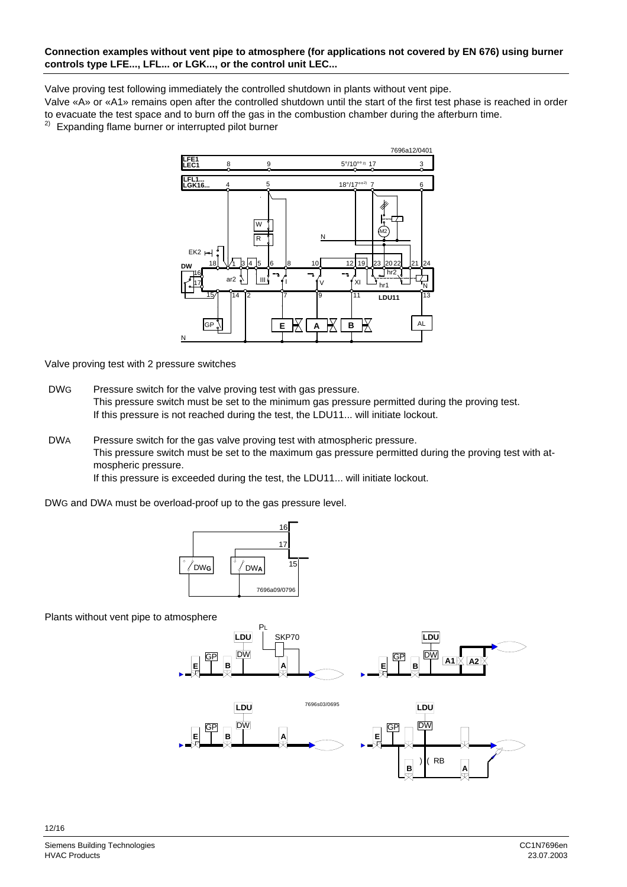#### **Connection examples without vent pipe to atmosphere (for applications not covered by EN 676) using burner controls type LFE..., LFL... or LGK..., or the control unit LEC...**

Valve proving test following immediately the controlled shutdown in plants without vent pipe.

Valve «A» or «A1» remains open after the controlled shutdown until the start of the first test phase is reached in order to evacuate the test space and to burn off the gas in the combustion chamber during the afterburn time.

2) Expanding flame burner or interrupted pilot burner



Valve proving test with 2 pressure switches

- DWG Pressure switch for the valve proving test with gas pressure. This pressure switch must be set to the minimum gas pressure permitted during the proving test. If this pressure is not reached during the test, the LDU11... will initiate lockout.
- DWA Pressure switch for the gas valve proving test with atmospheric pressure. This pressure switch must be set to the maximum gas pressure permitted during the proving test with atmospheric pressure. If this pressure is exceeded during the test, the LDU11... will initiate lockout.

DWG and DWA must be overload-proof up to the gas pressure level.



Plants without vent pipe to atmosphere

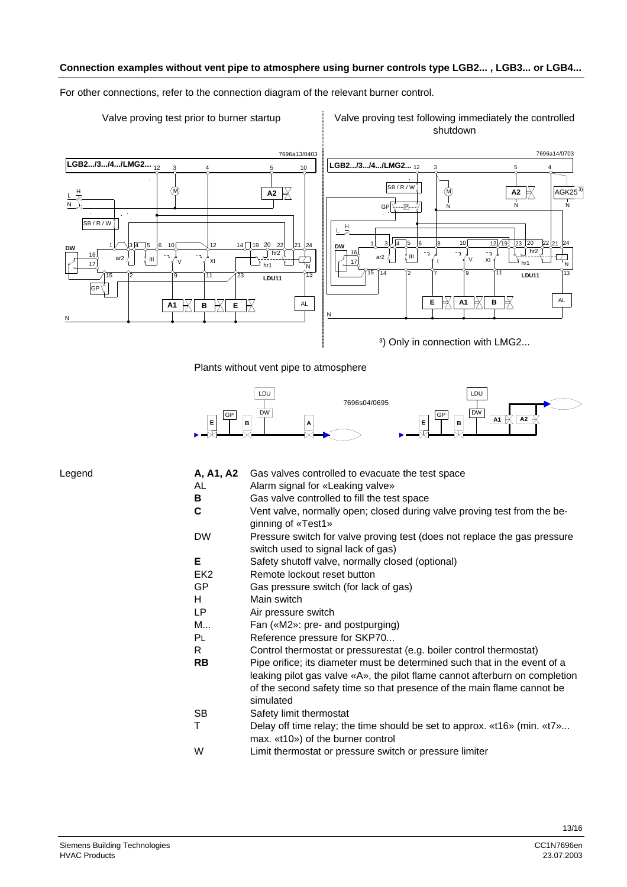#### **Connection examples without vent pipe to atmosphere using burner controls type LGB2... , LGB3... or LGB4...**

For other connections, refer to the connection diagram of the relevant burner control.

#### Valve proving test prior to burner startup Valve proving test following immediately the controlled shutdown



Plants without vent pipe to atmosphere



| Legend | A, A1, A2       | Gas valves controlled to evacuate the test space                                                                                                                                                                                                |
|--------|-----------------|-------------------------------------------------------------------------------------------------------------------------------------------------------------------------------------------------------------------------------------------------|
|        | AL              | Alarm signal for «Leaking valve»                                                                                                                                                                                                                |
|        | B               | Gas valve controlled to fill the test space                                                                                                                                                                                                     |
|        | C               | Vent valve, normally open; closed during valve proving test from the be-<br>ginning of «Test1»                                                                                                                                                  |
|        | <b>DW</b>       | Pressure switch for valve proving test (does not replace the gas pressure<br>switch used to signal lack of gas)                                                                                                                                 |
|        | Е               | Safety shutoff valve, normally closed (optional)                                                                                                                                                                                                |
|        | EK <sub>2</sub> | Remote lockout reset button                                                                                                                                                                                                                     |
|        | GP              | Gas pressure switch (for lack of gas)                                                                                                                                                                                                           |
|        | н               | Main switch                                                                                                                                                                                                                                     |
|        | LP              | Air pressure switch                                                                                                                                                                                                                             |
|        | M               | Fan («M2»: pre- and postpurging)                                                                                                                                                                                                                |
|        | <b>PL</b>       | Reference pressure for SKP70                                                                                                                                                                                                                    |
|        | R.              | Control thermostat or pressurestat (e.g. boiler control thermostat)                                                                                                                                                                             |
|        | <b>RB</b>       | Pipe orifice; its diameter must be determined such that in the event of a<br>leaking pilot gas valve «A», the pilot flame cannot afterburn on completion<br>of the second safety time so that presence of the main flame cannot be<br>simulated |
|        | SB              | Safety limit thermostat                                                                                                                                                                                                                         |
|        | Т               | Delay off time relay; the time should be set to approx. «t16» (min. «t7»                                                                                                                                                                        |

- max. «t10») of the burner control
- W Limit thermostat or pressure switch or pressure limiter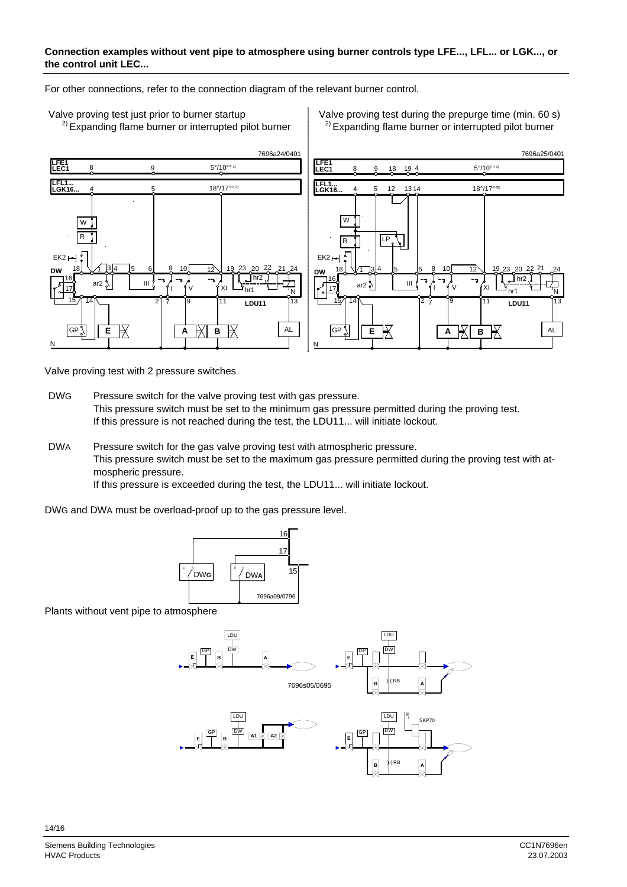#### **Connection examples without vent pipe to atmosphere using burner controls type LFE..., LFL... or LGK..., or the control unit LEC...**

For other connections, refer to the connection diagram of the relevant burner control.



Valve proving test with 2 pressure switches

DWG Pressure switch for the valve proving test with gas pressure. This pressure switch must be set to the minimum gas pressure permitted during the proving test. If this pressure is not reached during the test, the LDU11... will initiate lockout.

DWA Pressure switch for the gas valve proving test with atmospheric pressure. This pressure switch must be set to the maximum gas pressure permitted during the proving test with atmospheric pressure. If this pressure is exceeded during the test, the LDU11... will initiate lockout.





Plants without vent pipe to atmosphere



Valve proving test just prior to burner startup Valve proving test during the prepurge time (min. 60 s)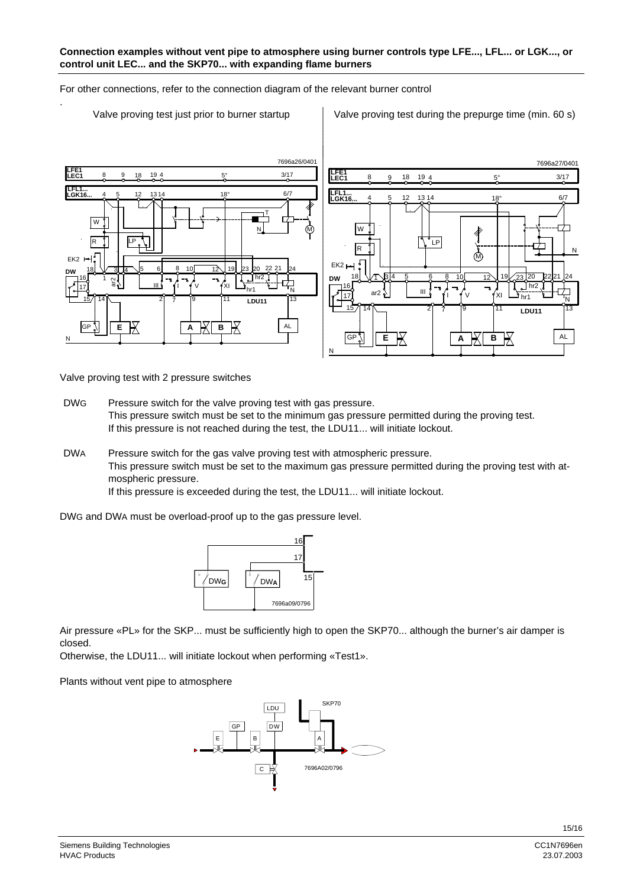For other connections, refer to the connection diagram of the relevant burner control



.

Valve proving test just prior to burner startup Valve proving test during the prepurge time (min. 60 s)



Valve proving test with 2 pressure switches

DWG Pressure switch for the valve proving test with gas pressure. This pressure switch must be set to the minimum gas pressure permitted during the proving test. If this pressure is not reached during the test, the LDU11... will initiate lockout.

DWA Pressure switch for the gas valve proving test with atmospheric pressure. This pressure switch must be set to the maximum gas pressure permitted during the proving test with atmospheric pressure.

If this pressure is exceeded during the test, the LDU11... will initiate lockout.

DWG and DWA must be overload-proof up to the gas pressure level.



Air pressure «PL» for the SKP... must be sufficiently high to open the SKP70... although the burner's air damper is closed.

Otherwise, the LDU11... will initiate lockout when performing «Test1».

Plants without vent pipe to atmosphere